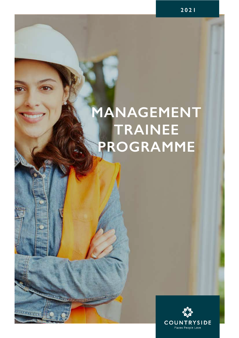# **MANAGEMENT TRAINEE PROGRAMME**

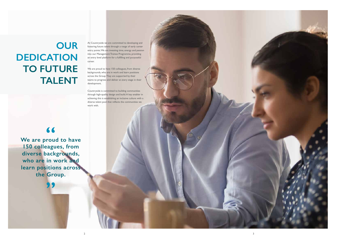# **OUR DEDICATION TO FUTURE TALENT**

At Countryside we are committed to developing and fostering future talent through a range of early career entry points. We are investing time, energy and passion into our Management Trainee Programme, providing an entry level platform for a fulfilling and purposeful career.

We are proud to have 150 colleagues, from diverse backgrounds, who are in work and learn positions across the Group. They are supported by their teams to progress and deliver at every stage in their development.

**We are proud to have 150 colleagues, from diverse backgrounds, who are in work and learn positions across the Group. 66**<br>rou

Countryside is committed to building communities through high-quality design and build. A key enabler in achieving this is establishing an inclusive culture with a diverse talent pool that reflects the communities we work with.



**"**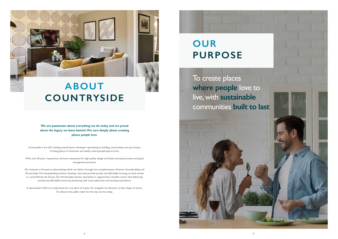

# **ABOUT COUNTRYSIDE**





**We are passionate about everything we do today and are proud about the legacy we leave behind.We care deeply about creating places people love.** 

Countryside is the UK's leading mixed-tenure developer specialising in building communities, not just houses. Creating places of character and quality, where people aspire to live.

With over 60 years' experience, we have a reputation for high quality design and build, sound governance and good management practices.

Our business is focused on placemaking which we deliver through two complementary divisions, Housebuilding and Partnerships. The Housebuilding division develops sites that provide private and affordable housing, on land owned or controlled by the Group. Our Partnerships division specialises in regeneration of public sector land, delivering private and affordable homes by partnering with local authorities and housing associations.

A placemaker's skill is to understand the true spirit of a place. To recognise its character to best shape its future. To enhance the public realm for the way we live today.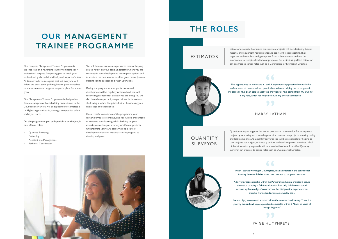7



# **OUR MANAGEMENT TRAINEE PROGRAMME**



Our two-year Management Trainee Programme is the first step on a rewarding journey to finding your professional purpose. Supporting you to reach your professional goals, both individually and as part of a team. At Countryside we recognise that not everyone will follow the exact same pathway, but we pride ourselves on the structure and support we put in place for you to grow.

Our Management Trainee Programme is designed to develop exceptional housebuilding professionals in the Countryside Way. You will be supported to complete a L4 Higher Apprenticeship, earning a competitive salary whilst you learn.

**On the programme you will specialise on the job, in one of four roles:**

- Quantity Surveying
- **Estimating**
- Assistant Site Management
- Technical Coordinator

You will have access to an experienced mentor helping you to reflect on your goals, understand where you are currently in your development, review your options and to explore the best way forward for your career journey. Helping you to succeed and reach your goals.

During the programme your performance and development will be regularly reviewed and you will receive regular feedback on how you are doing. You will also have the opportunity to participate in short-term shadowing in other disciplines, further broadening your knowledge and experience.

evel 4 ap<br>actical ex The opportunity to undertake a Level 4 apprenticeship provided me with the perfect blend of theoretical and practical experience, helping me to progress in my career. I have been able to apply the knowledge I have gained from my training in my role, which has helped to build my overall confidence.

On successful completion of the programme your career journey will continue, and you will be encouraged to continue your learning, whilst building on your experience working on a variety of different projects. Underpinning your early career will be a suite of development days and masterclasses helping you to develop and grow.

> **being a beginner."**<br> **D** I would highly recommend a career within the construction industry. There is a growing demand and ample opportunities available within it. Never be afraid of



**OUANTITY** SURVEYOR

Estimators calculate how much construction projects will cost, factoring labour, material and equipment requirements and assist with cost reporting. They negotiate with suppliers and gain quotes from subcontractors and use this information to compile detailed cost proposals for a client. A qualified Estimator can progress to senior roles such as a Commercial or Estimating Director.



Quantity surveyors support the tender process and ensure value for money on a project by estimating and controlling costs for construction projects, ensuring quality and legal compliance. As a quantity surveyor you will be responsible for helping to cost projects, set budgets, estimate quantities and work to project timelines. Much of the information you provide will be shared with others. A qualified Quantity Surveyor can progress to senior roles such as a Commercial Director.

"When I started working at Countryside, I had an interest in the construction industry however I didn't know how I wanted to progress my career.

A Surveying apprenticeship within the Partnerships division, provided a secure alternative to being in full-time education.Not only did the coursework increase my knowledge of construction, the vital practical experience was available from attending site on a weekly basis.

#### HARRY LATHAM

### PAIGE HUMPHREYS

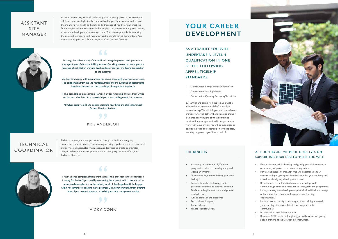Technical drawings and designs are used during the build and on-going maintenance of a structure. Design managers bring together architects, structural and service engineers, along with specialist designers to create coordinated designs and technical drawings. Your career could progress into a Design or Technical Director.



Learning about the entirety of the build and seeing the project develop in front of Learning about the entirety of the build and seeing the project develop in front of your eyes is one of the most fulfilling aspects of working in construction. It gives me immense job satisfaction knowing that I made an important and lasting contribution to the customer.

## I really enjoyed completing this apprenticeship. I have only been in the construction I really enjoyed completing this apprenticeship. I have only been in the construction industry for the last 3 years and by completing this apprenticeship I have started to understand more about how the industry works. It has helped me fill in the gaps within my current role enabling me to progress. Going over everything from different types of procurement routes to scheduling and time management on site.

Working as a trainee with Countryside has been a thoroughly enjoyable experience. The collaboration from the Site Managers, trades and the surrounding departments have been fantastic, and the knowledge I have gained is invaluable.

I have been able to take elements learnt on my apprenticeship and use them whilst on site, which has been an enormous help in understanding numerous processes.

My future goals would be to continue learning new things and challenging myself further. The sky's the limit! **"**

### TECHNICAL COORDINATOR

# KRIS ANDERSON

### VICKY DONN

Assistant site managers work on building sites, ensuring projects are completed safely, on time, to a high standard and within budget. They maintain and ensure the monitoring of health and safety and adherence of good working practices. Site managers will coordinate with the supply chain, surveyors and project teams, to ensure a development remains on track. They are responsible for ensuring the project has enough staff, machinery and materials to get the job done. Your career can progress to a Site Manager or Construction Director.



### ASSISTANT SITE MANAGER

## **YOUR CAREER DEVELOPMENT**

- Construction Design and Build Technician
- Construction Site Supervisor
- Construction Quantity Surveying Technician

AS A TRAINEE YOU WILL UNDERTAKE A LEVEL 4 QUALIFICATION IN ONE OF THE FOLLOWING APPRENTICESHIP STANDARDS:

#### AT COUNTRYSIDE WE PRIDE OURSELVES ON SUPPORTING YOUR DEVELOPMENT. YOU WILL:

#### THE BENEFITS

By learning and earning on the job, you will be fully funded to complete a HNC equivalent apprenticeship. We will link you with the relevant provider who will deliver the formalised training elements, providing the off-the-job training required for your apprenticeship. As you are in work with Countryside, you will be supported to develop a broad and extensive knowledge base, working on projects you'll be proud of!

- Earn an income, whilst learning and gaining practical experience on a variety of projects; so, no university debts.
- Have a dedicated line manager who will undertake regular reviews with you, giving you feedback on what you are doing well as well as identify any development areas.
- Be introduced to a dedicated mentor who will provide continuous guidance and reassurance throughout the programme.
- Have your very own development plan which will include a range of both knowledge based and interpersonal learning opportunities.
- Have access to our digital learning platform helping you track your learning plan, access bitesize learning and online communities.
- Be networked with fellow trainees.
- Become a STEM ambassador, giving you skills to support young people thinking about a career in construction.
- A starting salary from £18,000 with progression linked to meeting study and work performance.
- Twenty-five days annual holiday plus bank holidays.
- A rewards package allowing you to personalise benefits to suit you and your family including life assurance and private medical cover.
- Online cashback and discounts.
- Personal pension plan.
- Bonus scheme.
- Private Medical Cover.